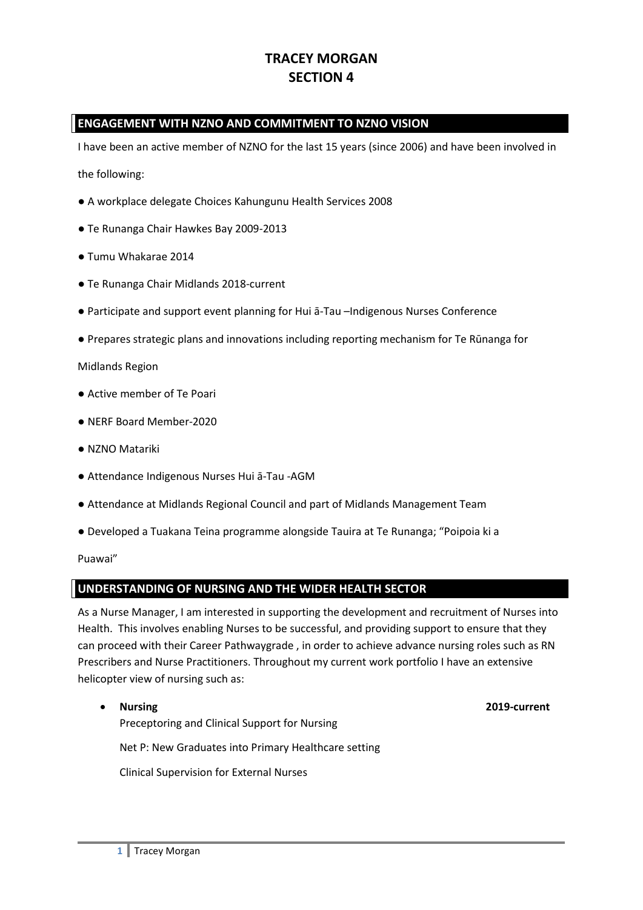# **TRACEY MORGAN SECTION 4**

## **ENGAGEMENT WITH NZNO AND COMMITMENT TO NZNO VISION**

I have been an active member of NZNO for the last 15 years (since 2006) and have been involved in

the following:

- A workplace delegate Choices Kahungunu Health Services 2008
- Te Runanga Chair Hawkes Bay 2009-2013
- Tumu Whakarae 2014
- Te Runanga Chair Midlands 2018-current
- Participate and support event planning for Hui ā-Tau –Indigenous Nurses Conference
- Prepares strategic plans and innovations including reporting mechanism for Te Rūnanga for

Midlands Region

- Active member of Te Poari
- NERF Board Member-2020
- NZNO Matariki
- Attendance Indigenous Nurses Hui ā-Tau -AGM
- Attendance at Midlands Regional Council and part of Midlands Management Team
- Developed a Tuakana Teina programme alongside Tauira at Te Runanga; "Poipoia ki a

Puawai"

#### **UNDERSTANDING OF NURSING AND THE WIDER HEALTH SECTOR**

As a Nurse Manager, I am interested in supporting the development and recruitment of Nurses into Health. This involves enabling Nurses to be successful, and providing support to ensure that they can proceed with their Career Pathwaygrade , in order to achieve advance nursing roles such as RN Prescribers and Nurse Practitioners. Throughout my current work portfolio I have an extensive helicopter view of nursing such as:

• **Nursing 2019-current** Preceptoring and Clinical Support for Nursing Net P: New Graduates into Primary Healthcare setting Clinical Supervision for External Nurses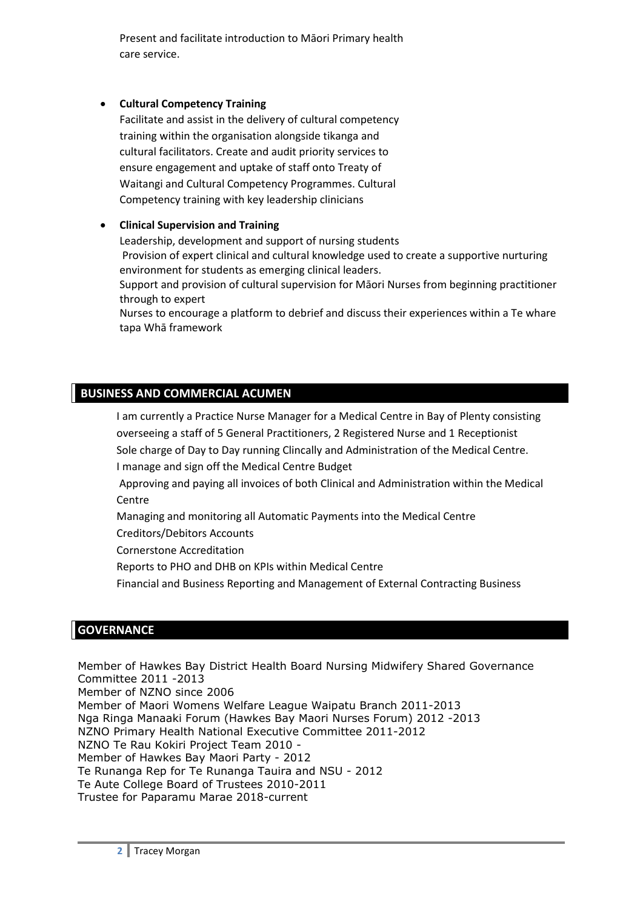Present and facilitate introduction to Māori Primary health care service.

### • **Cultural Competency Training**

Facilitate and assist in the delivery of cultural competency training within the organisation alongside tikanga and cultural facilitators. Create and audit priority services to ensure engagement and uptake of staff onto Treaty of Waitangi and Cultural Competency Programmes. Cultural Competency training with key leadership clinicians

### • **Clinical Supervision and Training**

Leadership, development and support of nursing students Provision of expert clinical and cultural knowledge used to create a supportive nurturing environment for students as emerging clinical leaders.

Support and provision of cultural supervision for Māori Nurses from beginning practitioner through to expert

Nurses to encourage a platform to debrief and discuss their experiences within a Te whare tapa Whā framework

## **BUSINESS AND COMMERCIAL ACUMEN**

I am currently a Practice Nurse Manager for a Medical Centre in Bay of Plenty consisting overseeing a staff of 5 General Practitioners, 2 Registered Nurse and 1 Receptionist

Sole charge of Day to Day running Clincally and Administration of the Medical Centre.

I manage and sign off the Medical Centre Budget

Approving and paying all invoices of both Clinical and Administration within the Medical **Centre** 

Managing and monitoring all Automatic Payments into the Medical Centre

Creditors/Debitors Accounts

Cornerstone Accreditation

Reports to PHO and DHB on KPIs within Medical Centre

Financial and Business Reporting and Management of External Contracting Business

#### **GOVERNANCE**

Member of Hawkes Bay District Health Board Nursing Midwifery Shared Governance Committee 2011 -2013 Member of NZNO since 2006 Member of Maori Womens Welfare League Waipatu Branch 2011-2013 Nga Ringa Manaaki Forum (Hawkes Bay Maori Nurses Forum) 2012 -2013 NZNO Primary Health National Executive Committee 2011-2012 NZNO Te Rau Kokiri Project Team 2010 - Member of Hawkes Bay Maori Party - 2012 Te Runanga Rep for Te Runanga Tauira and NSU - 2012 Te Aute College Board of Trustees 2010-2011 Trustee for Paparamu Marae 2018-current